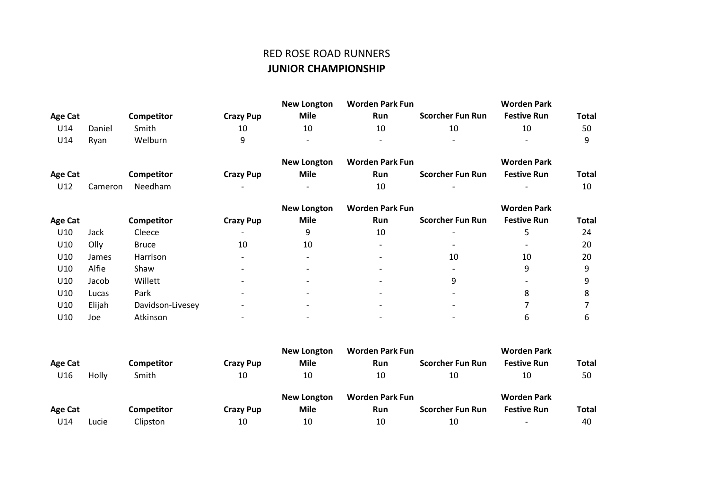## RED ROSE ROAD RUNNERS **JUNIOR CHAMPIONSHIP**

|                |         |                  |                          | <b>New Longton</b>       | <b>Worden Park Fun</b>   |                          | <b>Worden Park</b> |              |
|----------------|---------|------------------|--------------------------|--------------------------|--------------------------|--------------------------|--------------------|--------------|
| <b>Age Cat</b> |         | Competitor       | <b>Crazy Pup</b>         | <b>Mile</b>              | Run                      | <b>Scorcher Fun Run</b>  | <b>Festive Run</b> | <b>Total</b> |
| U14            | Daniel  | Smith            | 10                       | 10                       | 10                       | 10                       | 10                 | 50           |
| U14            | Ryan    | Welburn          | 9                        |                          |                          |                          |                    | 9            |
|                |         |                  |                          | <b>New Longton</b>       | <b>Worden Park Fun</b>   |                          | <b>Worden Park</b> |              |
| <b>Age Cat</b> |         | Competitor       | <b>Crazy Pup</b>         | <b>Mile</b>              | Run                      | <b>Scorcher Fun Run</b>  | <b>Festive Run</b> | <b>Total</b> |
| U12            | Cameron | Needham          |                          |                          | 10                       |                          |                    | 10           |
|                |         |                  |                          | <b>New Longton</b>       | <b>Worden Park Fun</b>   |                          | <b>Worden Park</b> |              |
| <b>Age Cat</b> |         | Competitor       | <b>Crazy Pup</b>         | <b>Mile</b>              | Run                      | <b>Scorcher Fun Run</b>  | <b>Festive Run</b> | Total        |
| U10            | Jack    | Cleece           | $\overline{\phantom{a}}$ | 9                        | 10                       | $\overline{\phantom{a}}$ | 5                  | 24           |
| U10            | Olly    | <b>Bruce</b>     | 10                       | 10                       | $\overline{\phantom{a}}$ |                          |                    | 20           |
| U10            | James   | Harrison         | $\overline{\phantom{a}}$ | $\overline{\phantom{0}}$ |                          | 10                       | 10                 | 20           |
| U10            | Alfie   | Shaw             | ٠                        |                          |                          |                          | 9                  | 9            |
| U10            | Jacob   | Willett          | $\overline{\phantom{a}}$ |                          |                          | 9                        |                    | 9            |
| U10            | Lucas   | Park             |                          |                          |                          | $\overline{\phantom{0}}$ | 8                  | 8            |
| U10            | Elijah  | Davidson-Livesey |                          |                          |                          |                          |                    |              |
| U10            | Joe     | Atkinson         |                          |                          |                          |                          | 6                  | 6            |

|         |       |                   |                  | New Longton        | Worden Park Fun        |                         | <b>Worden Park</b>       |              |
|---------|-------|-------------------|------------------|--------------------|------------------------|-------------------------|--------------------------|--------------|
| Age Cat |       | <b>Competitor</b> | <b>Crazy Pup</b> | <b>Mile</b>        | Run                    | <b>Scorcher Fun Run</b> | <b>Festive Run</b>       | <b>Total</b> |
| U16     | Holly | Smith             | 10               | 10                 | 10                     | 10                      | 10                       | 50           |
|         |       |                   |                  | <b>New Longton</b> | <b>Worden Park Fun</b> |                         | <b>Worden Park</b>       |              |
| Age Cat |       | Competitor        | <b>Crazy Pup</b> | <b>Mile</b>        | Run                    | <b>Scorcher Fun Run</b> | <b>Festive Run</b>       | <b>Total</b> |
| U14     | Lucie | Clipston          | 10               | 10                 | 10                     | 10                      | $\overline{\phantom{0}}$ | 40           |